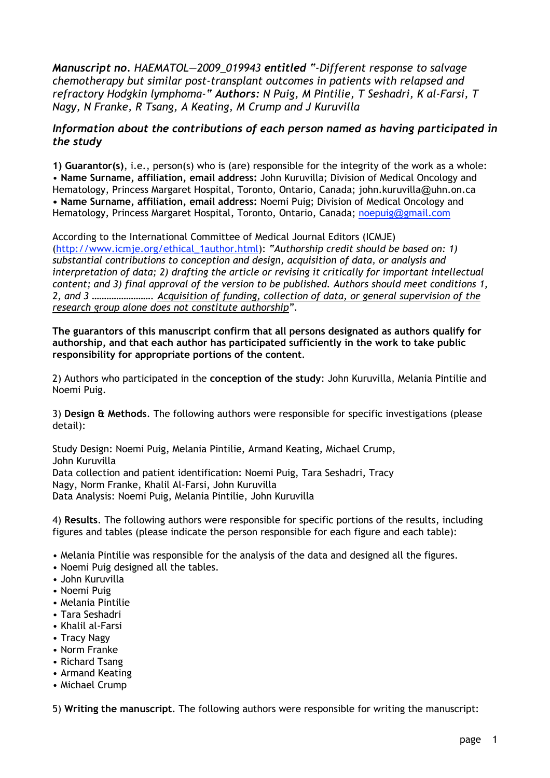*Manuscript no. HAEMATOL—2009\_019943 entitled "-Different response to salvage chemotherapy but similar post-transplant outcomes in patients with relapsed and refractory Hodgkin lymphoma-" Authors: N Puig, M Pintilie, T Seshadri, K al-Farsi, T Nagy, N Franke, R Tsang, A Keating, M Crump and J Kuruvilla*

## *Information about the contributions of each person named as having participated in the study*

**1) Guarantor(s)**, i.e., person(s) who is (are) responsible for the integrity of the work as a whole: • **Name Surname, affiliation, email address:** John Kuruvilla; Division of Medical Oncology and Hematology, Princess Margaret Hospital, Toronto, Ontario, Canada; john.kuruvilla@uhn.on.ca **• Name Surname, affiliation, email address:** Noemi Puig; Division of Medical Oncology and Hematology, Princess Margaret Hospital, Toronto, Ontario, Canada; noepuig@gmail.com

According to the International Committee of Medical Journal Editors (ICMJE) (http://www.icmje.org/ethical\_1author.html): *"Authorship credit should be based on: 1) substantial contributions to conception and design, acquisition of data, or analysis and interpretation of data; 2) drafting the article or revising it critically for important intellectual content; and 3) final approval of the version to be published. Authors should meet conditions 1, 2, and 3 ……………………. Acquisition of funding, collection of data, or general supervision of the research group alone does not constitute authorship".*

**The guarantors of this manuscript confirm that all persons designated as authors qualify for authorship, and that each author has participated sufficiently in the work to take public responsibility for appropriate portions of the content**.

2) Authors who participated in the **conception of the study**: John Kuruvilla, Melania Pintilie and Noemi Puig.

3) **Design & Methods**. The following authors were responsible for specific investigations (please detail):

Study Design: Noemi Puig, Melania Pintilie, Armand Keating, Michael Crump, John Kuruvilla Data collection and patient identification: Noemi Puig, Tara Seshadri, Tracy Nagy, Norm Franke, Khalil Al-Farsi, John Kuruvilla

Data Analysis: Noemi Puig, Melania Pintilie, John Kuruvilla

4) **Results**. The following authors were responsible for specific portions of the results, including figures and tables (please indicate the person responsible for each figure and each table):

• Melania Pintilie was responsible for the analysis of the data and designed all the figures.

- Noemi Puig designed all the tables.
- John Kuruvilla
- Noemi Puig
- Melania Pintilie
- Tara Seshadri
- Khalil al-Farsi
- Tracy Nagy
- Norm Franke
- Richard Tsang
- Armand Keating
- Michael Crump

5) **Writing the manuscript**. The following authors were responsible for writing the manuscript: